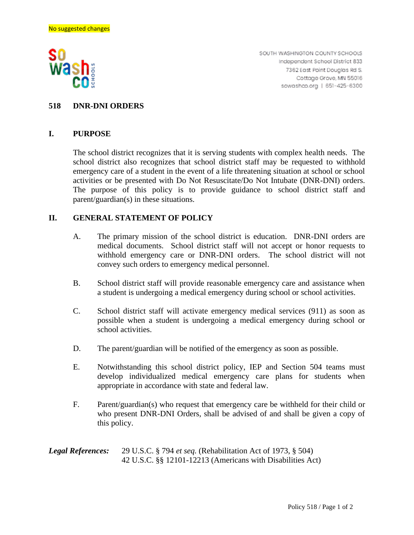

SOUTH WASHINGTON COUNTY SCHOOLS Independent School District 833 7362 East Point Douglas Rd S. Cottage Grove, MN 55016 sowashco.org | 651-425-6300

## **518 DNR-DNI ORDERS**

## **I. PURPOSE**

The school district recognizes that it is serving students with complex health needs. The school district also recognizes that school district staff may be requested to withhold emergency care of a student in the event of a life threatening situation at school or school activities or be presented with Do Not Resuscitate/Do Not Intubate (DNR-DNI) orders. The purpose of this policy is to provide guidance to school district staff and parent/guardian(s) in these situations.

## **II. GENERAL STATEMENT OF POLICY**

- A. The primary mission of the school district is education. DNR-DNI orders are medical documents. School district staff will not accept or honor requests to withhold emergency care or DNR-DNI orders. The school district will not convey such orders to emergency medical personnel.
- B. School district staff will provide reasonable emergency care and assistance when a student is undergoing a medical emergency during school or school activities.
- C. School district staff will activate emergency medical services (911) as soon as possible when a student is undergoing a medical emergency during school or school activities.
- D. The parent/guardian will be notified of the emergency as soon as possible.
- E. Notwithstanding this school district policy, IEP and Section 504 teams must develop individualized medical emergency care plans for students when appropriate in accordance with state and federal law.
- F. Parent/guardian(s) who request that emergency care be withheld for their child or who present DNR-DNI Orders, shall be advised of and shall be given a copy of this policy.

*Legal References:* 29 U.S.C. § 794 *et seq.* (Rehabilitation Act of 1973, § 504) 42 U.S.C. §§ 12101-12213 (Americans with Disabilities Act)